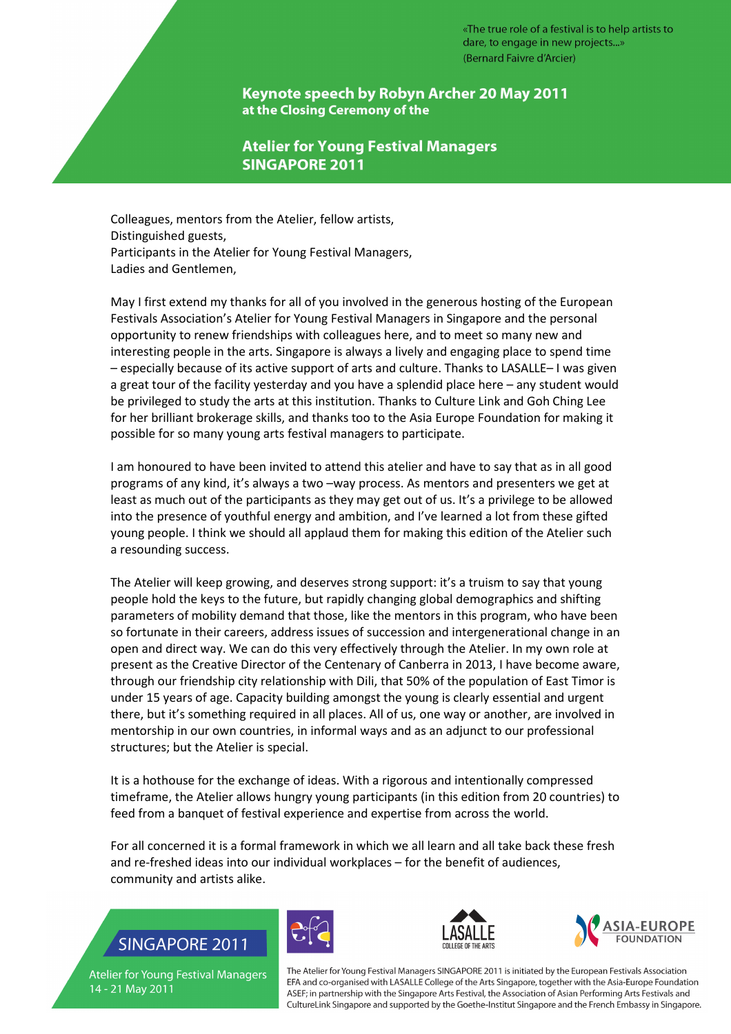#### Keynote speech by Robyn Archer 20 May 2011 at the Closing Ceremony of the

### **Atelier for Young Festival Managers SINGAPORE 2011**

Colleagues, mentors from the Atelier, fellow artists, Distinguished guests, Participants in the Atelier for Young Festival Managers, Ladies and Gentlemen,

May I first extend my thanks for all of you involved in the generous hosting of the European Festivals Association's Atelier for Young Festival Managers in Singapore and the personal opportunity to renew friendships with colleagues here, and to meet so many new and interesting people in the arts. Singapore is always a lively and engaging place to spend time – especially because of its active support of arts and culture. Thanks to LASALLE– I was given a great tour of the facility yesterday and you have a splendid place here – any student would be privileged to study the arts at this institution. Thanks to Culture Link and Goh Ching Lee for her brilliant brokerage skills, and thanks too to the Asia Europe Foundation for making it possible for so many young arts festival managers to participate.

I am honoured to have been invited to attend this atelier and have to say that as in all good programs of any kind, it's always a two –way process. As mentors and presenters we get at least as much out of the participants as they may get out of us. It's a privilege to be allowed into the presence of youthful energy and ambition, and I've learned a lot from these gifted young people. I think we should all applaud them for making this edition of the Atelier such a resounding success.

The Atelier will keep growing, and deserves strong support: it's a truism to say that young people hold the keys to the future, but rapidly changing global demographics and shifting parameters of mobility demand that those, like the mentors in this program, who have been so fortunate in their careers, address issues of succession and intergenerational change in an open and direct way. We can do this very effectively through the Atelier. In my own role at present as the Creative Director of the Centenary of Canberra in 2013, I have become aware, through our friendship city relationship with Dili, that 50% of the population of East Timor is under 15 years of age. Capacity building amongst the young is clearly essential and urgent there, but it's something required in all places. All of us, one way or another, are involved in mentorship in our own countries, in informal ways and as an adjunct to our professional structures; but the Atelier is special.

It is a hothouse for the exchange of ideas. With a rigorous and intentionally compressed timeframe, the Atelier allows hungry young participants (in this edition from 20 countries) to feed from a banquet of festival experience and expertise from across the world.

For all concerned it is a formal framework in which we all learn and all take back these fresh and re-freshed ideas into our individual workplaces – for the benefit of audiences, community and artists alike.

# **SINGAPORE 2011**





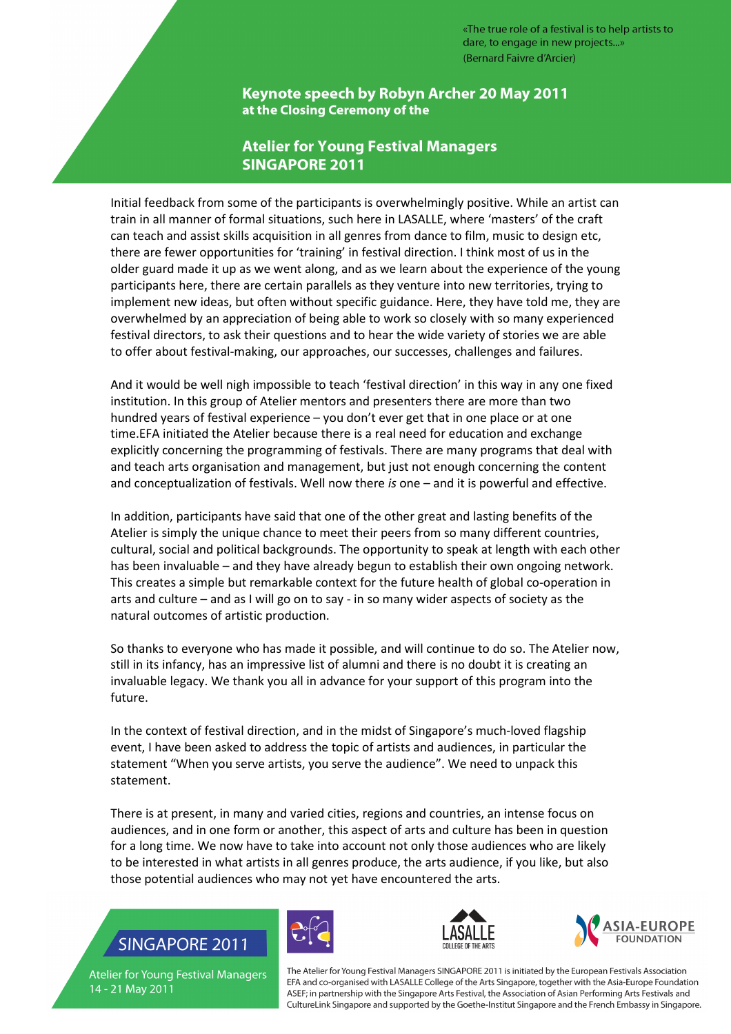Keynote speech by Robyn Archer 20 May 2011 at the Closing Ceremony of the

### **Atelier for Young Festival Managers SINGAPORE 2011**

Initial feedback from some of the participants is overwhelmingly positive. While an artist can train in all manner of formal situations, such here in LASALLE, where 'masters' of the craft can teach and assist skills acquisition in all genres from dance to film, music to design etc, there are fewer opportunities for 'training' in festival direction. I think most of us in the older guard made it up as we went along, and as we learn about the experience of the young participants here, there are certain parallels as they venture into new territories, trying to implement new ideas, but often without specific guidance. Here, they have told me, they are overwhelmed by an appreciation of being able to work so closely with so many experienced festival directors, to ask their questions and to hear the wide variety of stories we are able to offer about festival-making, our approaches, our successes, challenges and failures.

And it would be well nigh impossible to teach 'festival direction' in this way in any one fixed institution. In this group of Atelier mentors and presenters there are more than two hundred years of festival experience – you don't ever get that in one place or at one time.EFA initiated the Atelier because there is a real need for education and exchange explicitly concerning the programming of festivals. There are many programs that deal with and teach arts organisation and management, but just not enough concerning the content and conceptualization of festivals. Well now there is one – and it is powerful and effective.

In addition, participants have said that one of the other great and lasting benefits of the Atelier is simply the unique chance to meet their peers from so many different countries, cultural, social and political backgrounds. The opportunity to speak at length with each other has been invaluable – and they have already begun to establish their own ongoing network. This creates a simple but remarkable context for the future health of global co-operation in arts and culture – and as I will go on to say - in so many wider aspects of society as the natural outcomes of artistic production.

So thanks to everyone who has made it possible, and will continue to do so. The Atelier now, still in its infancy, has an impressive list of alumni and there is no doubt it is creating an invaluable legacy. We thank you all in advance for your support of this program into the future.

In the context of festival direction, and in the midst of Singapore's much-loved flagship event, I have been asked to address the topic of artists and audiences, in particular the statement "When you serve artists, you serve the audience". We need to unpack this statement.

There is at present, in many and varied cities, regions and countries, an intense focus on audiences, and in one form or another, this aspect of arts and culture has been in question for a long time. We now have to take into account not only those audiences who are likely to be interested in what artists in all genres produce, the arts audience, if you like, but also those potential audiences who may not yet have encountered the arts.

## **SINGAPORE 2011**







**Atelier for Young Festival Managers** 14 - 21 May 2011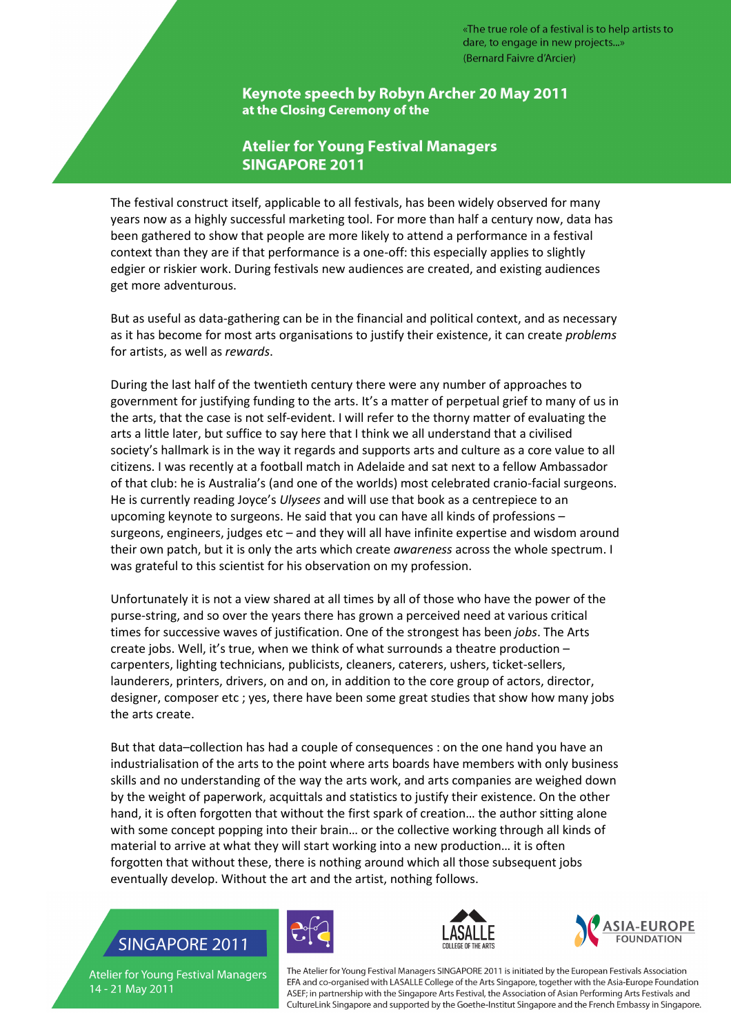Keynote speech by Robyn Archer 20 May 2011 at the Closing Ceremony of the

### **Atelier for Young Festival Managers SINGAPORE 2011**

The festival construct itself, applicable to all festivals, has been widely observed for many years now as a highly successful marketing tool. For more than half a century now, data has been gathered to show that people are more likely to attend a performance in a festival context than they are if that performance is a one-off: this especially applies to slightly edgier or riskier work. During festivals new audiences are created, and existing audiences get more adventurous.

But as useful as data-gathering can be in the financial and political context, and as necessary as it has become for most arts organisations to justify their existence, it can create problems for artists, as well as rewards.

During the last half of the twentieth century there were any number of approaches to government for justifying funding to the arts. It's a matter of perpetual grief to many of us in the arts, that the case is not self-evident. I will refer to the thorny matter of evaluating the arts a little later, but suffice to say here that I think we all understand that a civilised society's hallmark is in the way it regards and supports arts and culture as a core value to all citizens. I was recently at a football match in Adelaide and sat next to a fellow Ambassador of that club: he is Australia's (and one of the worlds) most celebrated cranio-facial surgeons. He is currently reading Joyce's Ulysees and will use that book as a centrepiece to an upcoming keynote to surgeons. He said that you can have all kinds of professions – surgeons, engineers, judges etc – and they will all have infinite expertise and wisdom around their own patch, but it is only the arts which create awareness across the whole spectrum. I was grateful to this scientist for his observation on my profession.

Unfortunately it is not a view shared at all times by all of those who have the power of the purse-string, and so over the years there has grown a perceived need at various critical times for successive waves of justification. One of the strongest has been jobs. The Arts create jobs. Well, it's true, when we think of what surrounds a theatre production – carpenters, lighting technicians, publicists, cleaners, caterers, ushers, ticket-sellers, launderers, printers, drivers, on and on, in addition to the core group of actors, director, designer, composer etc ; yes, there have been some great studies that show how many jobs the arts create.

But that data–collection has had a couple of consequences : on the one hand you have an industrialisation of the arts to the point where arts boards have members with only business skills and no understanding of the way the arts work, and arts companies are weighed down by the weight of paperwork, acquittals and statistics to justify their existence. On the other hand, it is often forgotten that without the first spark of creation… the author sitting alone with some concept popping into their brain... or the collective working through all kinds of material to arrive at what they will start working into a new production… it is often forgotten that without these, there is nothing around which all those subsequent jobs eventually develop. Without the art and the artist, nothing follows.

## **SINGAPORE 2011**







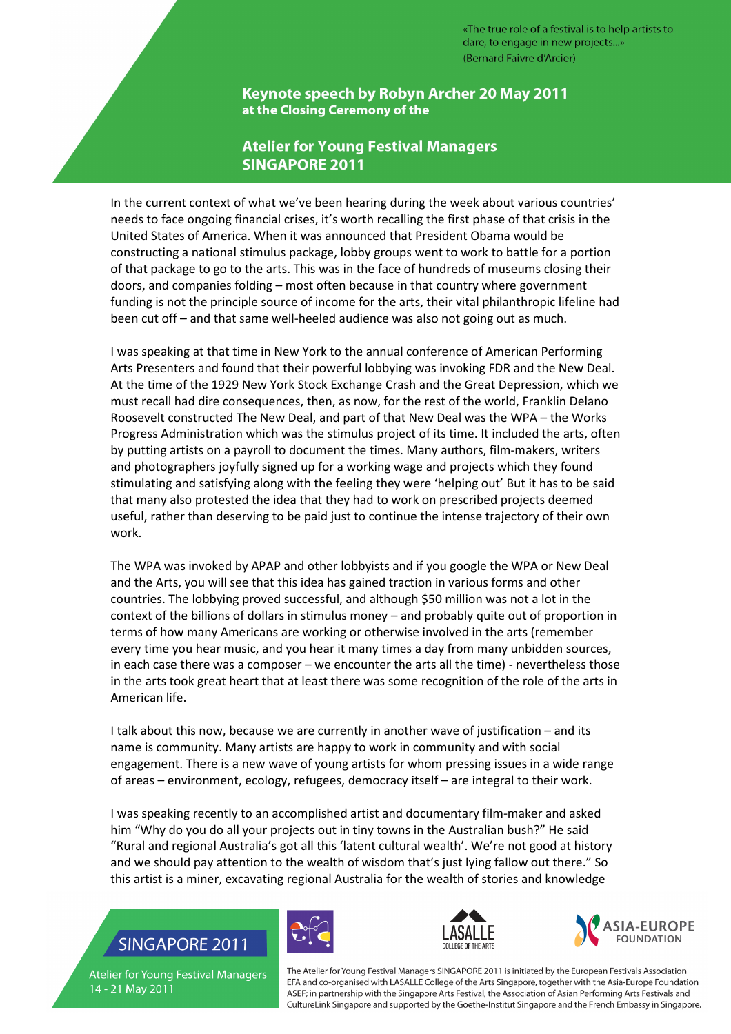Keynote speech by Robyn Archer 20 May 2011 at the Closing Ceremony of the

### **Atelier for Young Festival Managers SINGAPORE 2011**

In the current context of what we've been hearing during the week about various countries' needs to face ongoing financial crises, it's worth recalling the first phase of that crisis in the United States of America. When it was announced that President Obama would be constructing a national stimulus package, lobby groups went to work to battle for a portion of that package to go to the arts. This was in the face of hundreds of museums closing their doors, and companies folding – most often because in that country where government funding is not the principle source of income for the arts, their vital philanthropic lifeline had been cut off – and that same well-heeled audience was also not going out as much.

I was speaking at that time in New York to the annual conference of American Performing Arts Presenters and found that their powerful lobbying was invoking FDR and the New Deal. At the time of the 1929 New York Stock Exchange Crash and the Great Depression, which we must recall had dire consequences, then, as now, for the rest of the world, Franklin Delano Roosevelt constructed The New Deal, and part of that New Deal was the WPA – the Works Progress Administration which was the stimulus project of its time. It included the arts, often by putting artists on a payroll to document the times. Many authors, film-makers, writers and photographers joyfully signed up for a working wage and projects which they found stimulating and satisfying along with the feeling they were 'helping out' But it has to be said that many also protested the idea that they had to work on prescribed projects deemed useful, rather than deserving to be paid just to continue the intense trajectory of their own work.

The WPA was invoked by APAP and other lobbyists and if you google the WPA or New Deal and the Arts, you will see that this idea has gained traction in various forms and other countries. The lobbying proved successful, and although \$50 million was not a lot in the context of the billions of dollars in stimulus money – and probably quite out of proportion in terms of how many Americans are working or otherwise involved in the arts (remember every time you hear music, and you hear it many times a day from many unbidden sources, in each case there was a composer – we encounter the arts all the time) - nevertheless those in the arts took great heart that at least there was some recognition of the role of the arts in American life.

I talk about this now, because we are currently in another wave of justification – and its name is community. Many artists are happy to work in community and with social engagement. There is a new wave of young artists for whom pressing issues in a wide range of areas – environment, ecology, refugees, democracy itself – are integral to their work.

I was speaking recently to an accomplished artist and documentary film-maker and asked him "Why do you do all your projects out in tiny towns in the Australian bush?" He said "Rural and regional Australia's got all this 'latent cultural wealth'. We're not good at history and we should pay attention to the wealth of wisdom that's just lying fallow out there." So this artist is a miner, excavating regional Australia for the wealth of stories and knowledge

## **SINGAPORE 2011**







**Atelier for Young Festival Managers** 14 - 21 May 2011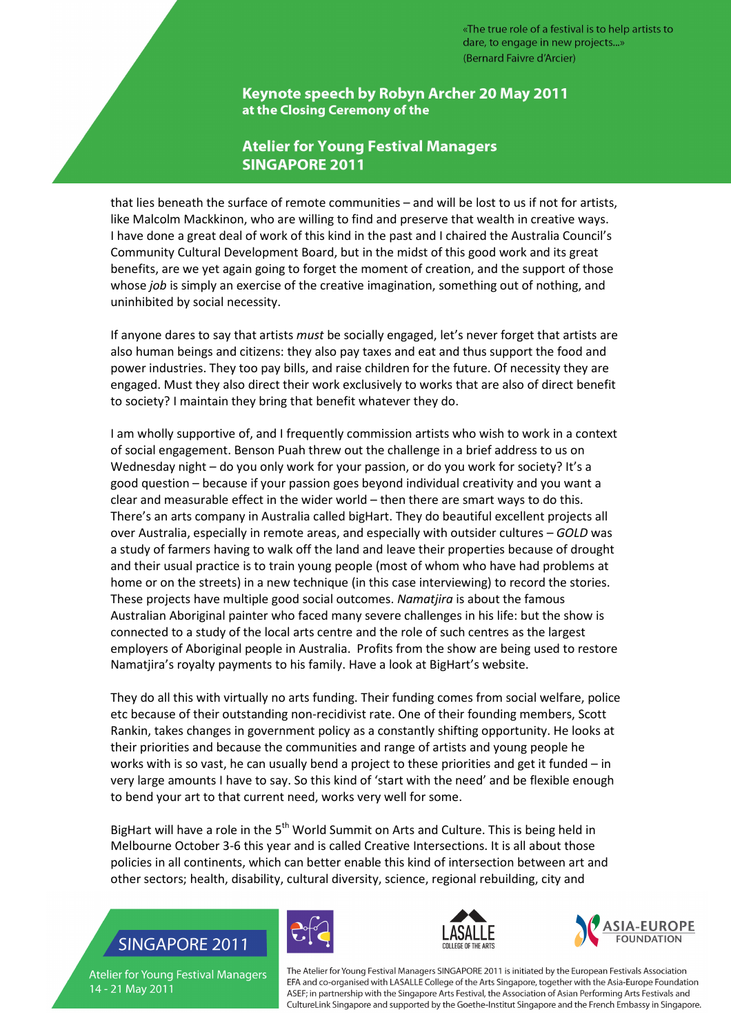Keynote speech by Robyn Archer 20 May 2011 at the Closing Ceremony of the

### **Atelier for Young Festival Managers SINGAPORE 2011**

that lies beneath the surface of remote communities – and will be lost to us if not for artists, like Malcolm Mackkinon, who are willing to find and preserve that wealth in creative ways. I have done a great deal of work of this kind in the past and I chaired the Australia Council's Community Cultural Development Board, but in the midst of this good work and its great benefits, are we yet again going to forget the moment of creation, and the support of those whose job is simply an exercise of the creative imagination, something out of nothing, and uninhibited by social necessity.

If anyone dares to say that artists must be socially engaged, let's never forget that artists are also human beings and citizens: they also pay taxes and eat and thus support the food and power industries. They too pay bills, and raise children for the future. Of necessity they are engaged. Must they also direct their work exclusively to works that are also of direct benefit to society? I maintain they bring that benefit whatever they do.

I am wholly supportive of, and I frequently commission artists who wish to work in a context of social engagement. Benson Puah threw out the challenge in a brief address to us on Wednesday night – do you only work for your passion, or do you work for society? It's a good question – because if your passion goes beyond individual creativity and you want a clear and measurable effect in the wider world – then there are smart ways to do this. There's an arts company in Australia called bigHart. They do beautiful excellent projects all over Australia, especially in remote areas, and especially with outsider cultures – GOLD was a study of farmers having to walk off the land and leave their properties because of drought and their usual practice is to train young people (most of whom who have had problems at home or on the streets) in a new technique (in this case interviewing) to record the stories. These projects have multiple good social outcomes. Namatjira is about the famous Australian Aboriginal painter who faced many severe challenges in his life: but the show is connected to a study of the local arts centre and the role of such centres as the largest employers of Aboriginal people in Australia. Profits from the show are being used to restore Namatjira's royalty payments to his family. Have a look at BigHart's website.

They do all this with virtually no arts funding. Their funding comes from social welfare, police etc because of their outstanding non-recidivist rate. One of their founding members, Scott Rankin, takes changes in government policy as a constantly shifting opportunity. He looks at their priorities and because the communities and range of artists and young people he works with is so vast, he can usually bend a project to these priorities and get it funded – in very large amounts I have to say. So this kind of 'start with the need' and be flexible enough to bend your art to that current need, works very well for some.

BigHart will have a role in the 5<sup>th</sup> World Summit on Arts and Culture. This is being held in Melbourne October 3-6 this year and is called Creative Intersections. It is all about those policies in all continents, which can better enable this kind of intersection between art and other sectors; health, disability, cultural diversity, science, regional rebuilding, city and

## **SINGAPORE 2011**







**Atelier for Young Festival Managers** 14 - 21 May 2011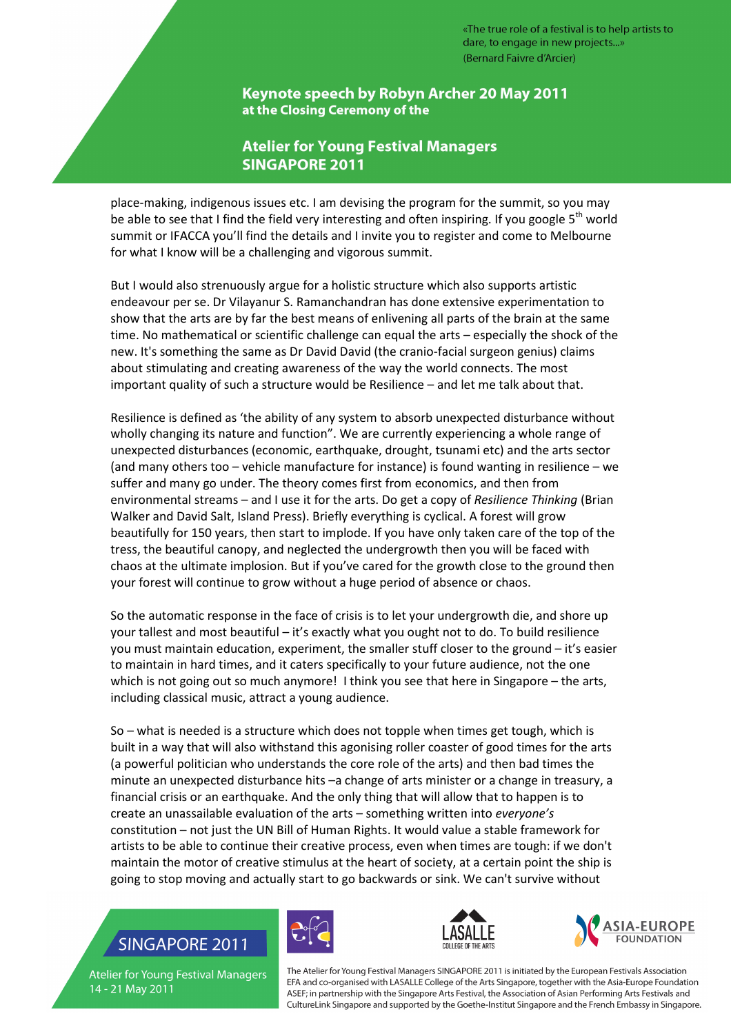Keynote speech by Robyn Archer 20 May 2011 at the Closing Ceremony of the

### **Atelier for Young Festival Managers SINGAPORE 2011**

place-making, indigenous issues etc. I am devising the program for the summit, so you may be able to see that I find the field very interesting and often inspiring. If you google  $5<sup>th</sup>$  world summit or IFACCA you'll find the details and I invite you to register and come to Melbourne for what I know will be a challenging and vigorous summit.

But I would also strenuously argue for a holistic structure which also supports artistic endeavour per se. Dr Vilayanur S. Ramanchandran has done extensive experimentation to show that the arts are by far the best means of enlivening all parts of the brain at the same time. No mathematical or scientific challenge can equal the arts – especially the shock of the new. It's something the same as Dr David David (the cranio-facial surgeon genius) claims about stimulating and creating awareness of the way the world connects. The most important quality of such a structure would be Resilience – and let me talk about that.

Resilience is defined as 'the ability of any system to absorb unexpected disturbance without wholly changing its nature and function". We are currently experiencing a whole range of unexpected disturbances (economic, earthquake, drought, tsunami etc) and the arts sector (and many others too – vehicle manufacture for instance) is found wanting in resilience – we suffer and many go under. The theory comes first from economics, and then from environmental streams – and I use it for the arts. Do get a copy of Resilience Thinking (Brian Walker and David Salt, Island Press). Briefly everything is cyclical. A forest will grow beautifully for 150 years, then start to implode. If you have only taken care of the top of the tress, the beautiful canopy, and neglected the undergrowth then you will be faced with chaos at the ultimate implosion. But if you've cared for the growth close to the ground then your forest will continue to grow without a huge period of absence or chaos.

So the automatic response in the face of crisis is to let your undergrowth die, and shore up your tallest and most beautiful – it's exactly what you ought not to do. To build resilience you must maintain education, experiment, the smaller stuff closer to the ground – it's easier to maintain in hard times, and it caters specifically to your future audience, not the one which is not going out so much anymore! I think you see that here in Singapore – the arts, including classical music, attract a young audience.

So – what is needed is a structure which does not topple when times get tough, which is built in a way that will also withstand this agonising roller coaster of good times for the arts (a powerful politician who understands the core role of the arts) and then bad times the minute an unexpected disturbance hits –a change of arts minister or a change in treasury, a financial crisis or an earthquake. And the only thing that will allow that to happen is to create an unassailable evaluation of the arts – something written into everyone's constitution – not just the UN Bill of Human Rights. It would value a stable framework for artists to be able to continue their creative process, even when times are tough: if we don't maintain the motor of creative stimulus at the heart of society, at a certain point the ship is going to stop moving and actually start to go backwards or sink. We can't survive without

### **SINGAPORE 2011**







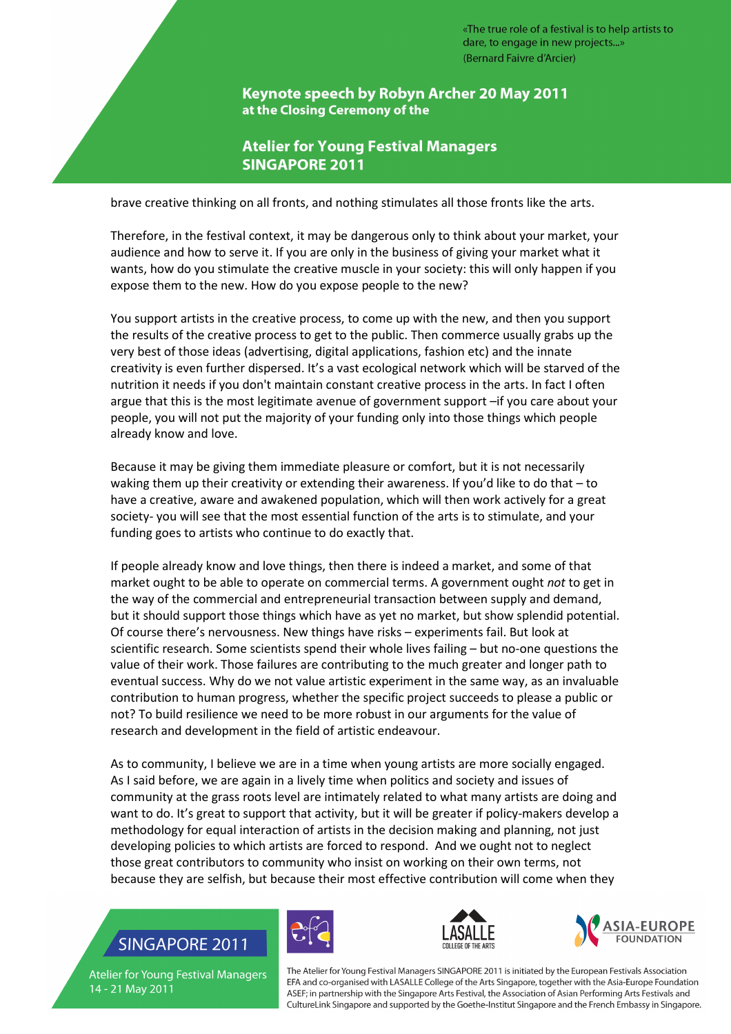Keynote speech by Robyn Archer 20 May 2011 at the Closing Ceremony of the

### **Atelier for Young Festival Managers SINGAPORE 2011**

brave creative thinking on all fronts, and nothing stimulates all those fronts like the arts.

Therefore, in the festival context, it may be dangerous only to think about your market, your audience and how to serve it. If you are only in the business of giving your market what it wants, how do you stimulate the creative muscle in your society: this will only happen if you expose them to the new. How do you expose people to the new?

You support artists in the creative process, to come up with the new, and then you support the results of the creative process to get to the public. Then commerce usually grabs up the very best of those ideas (advertising, digital applications, fashion etc) and the innate creativity is even further dispersed. It's a vast ecological network which will be starved of the nutrition it needs if you don't maintain constant creative process in the arts. In fact I often argue that this is the most legitimate avenue of government support –if you care about your people, you will not put the majority of your funding only into those things which people already know and love.

Because it may be giving them immediate pleasure or comfort, but it is not necessarily waking them up their creativity or extending their awareness. If you'd like to do that – to have a creative, aware and awakened population, which will then work actively for a great society- you will see that the most essential function of the arts is to stimulate, and your funding goes to artists who continue to do exactly that.

If people already know and love things, then there is indeed a market, and some of that market ought to be able to operate on commercial terms. A government ought not to get in the way of the commercial and entrepreneurial transaction between supply and demand, but it should support those things which have as yet no market, but show splendid potential. Of course there's nervousness. New things have risks – experiments fail. But look at scientific research. Some scientists spend their whole lives failing – but no-one questions the value of their work. Those failures are contributing to the much greater and longer path to eventual success. Why do we not value artistic experiment in the same way, as an invaluable contribution to human progress, whether the specific project succeeds to please a public or not? To build resilience we need to be more robust in our arguments for the value of research and development in the field of artistic endeavour.

As to community, I believe we are in a time when young artists are more socially engaged. As I said before, we are again in a lively time when politics and society and issues of community at the grass roots level are intimately related to what many artists are doing and want to do. It's great to support that activity, but it will be greater if policy-makers develop a methodology for equal interaction of artists in the decision making and planning, not just developing policies to which artists are forced to respond. And we ought not to neglect those great contributors to community who insist on working on their own terms, not because they are selfish, but because their most effective contribution will come when they

## **SINGAPORE 2011**







**Atelier for Young Festival Managers** 14 - 21 May 2011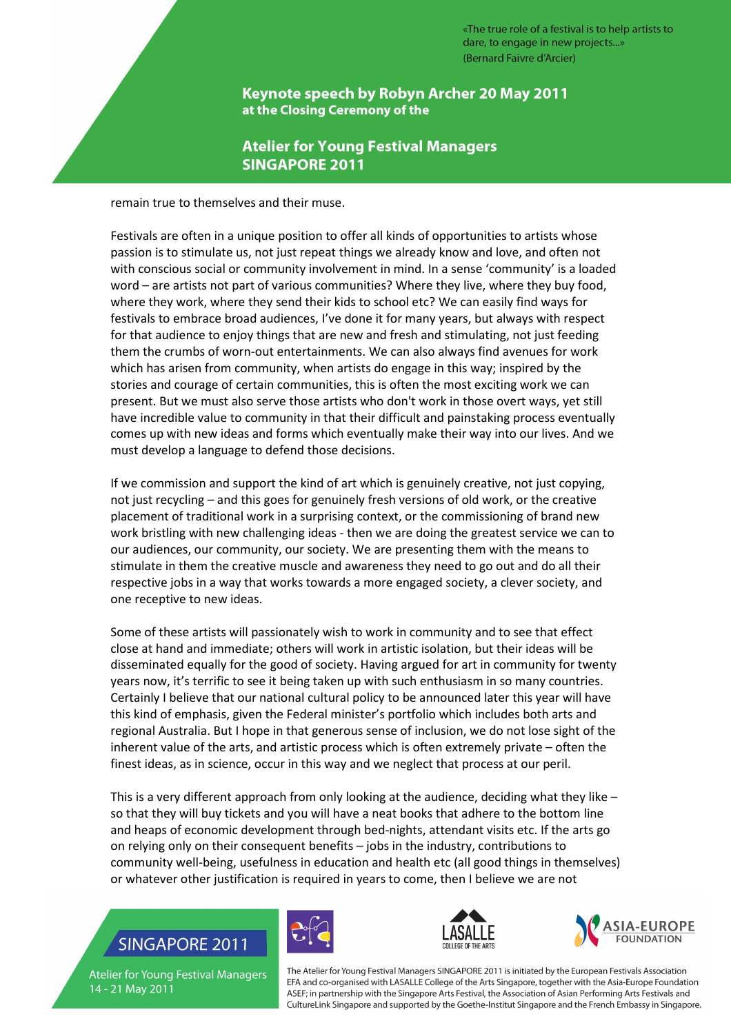Keynote speech by Robyn Archer 20 May 2011 at the Closing Ceremony of the

### **Atelier for Young Festival Managers SINGAPORE 2011**

remain true to themselves and their muse.

Festivals are often in a unique position to offer all kinds of opportunities to artists whose passion is to stimulate us, not just repeat things we already know and love, and often not with conscious social or community involvement in mind. In a sense 'community' is a loaded word – are artists not part of various communities? Where they live, where they buy food, where they work, where they send their kids to school etc? We can easily find ways for festivals to embrace broad audiences, I've done it for many years, but always with respect for that audience to enjoy things that are new and fresh and stimulating, not just feeding them the crumbs of worn-out entertainments. We can also always find avenues for work which has arisen from community, when artists do engage in this way; inspired by the stories and courage of certain communities, this is often the most exciting work we can present. But we must also serve those artists who don't work in those overt ways, yet still have incredible value to community in that their difficult and painstaking process eventually comes up with new ideas and forms which eventually make their way into our lives. And we must develop a language to defend those decisions.

If we commission and support the kind of art which is genuinely creative, not just copying, not just recycling – and this goes for genuinely fresh versions of old work, or the creative placement of traditional work in a surprising context, or the commissioning of brand new work bristling with new challenging ideas - then we are doing the greatest service we can to our audiences, our community, our society. We are presenting them with the means to stimulate in them the creative muscle and awareness they need to go out and do all their respective jobs in a way that works towards a more engaged society, a clever society, and one receptive to new ideas.

Some of these artists will passionately wish to work in community and to see that effect close at hand and immediate; others will work in artistic isolation, but their ideas will be disseminated equally for the good of society. Having argued for art in community for twenty years now, it's terrific to see it being taken up with such enthusiasm in so many countries. Certainly I believe that our national cultural policy to be announced later this year will have this kind of emphasis, given the Federal minister's portfolio which includes both arts and regional Australia. But I hope in that generous sense of inclusion, we do not lose sight of the inherent value of the arts, and artistic process which is often extremely private – often the finest ideas, as in science, occur in this way and we neglect that process at our peril.

This is a very different approach from only looking at the audience, deciding what they like – so that they will buy tickets and you will have a neat books that adhere to the bottom line and heaps of economic development through bed-nights, attendant visits etc. If the arts go on relying only on their consequent benefits – jobs in the industry, contributions to community well-being, usefulness in education and health etc (all good things in themselves) or whatever other justification is required in years to come, then I believe we are not

# **SINGAPORE 2011**







**Atelier for Young Festival Managers** 14 - 21 May 2011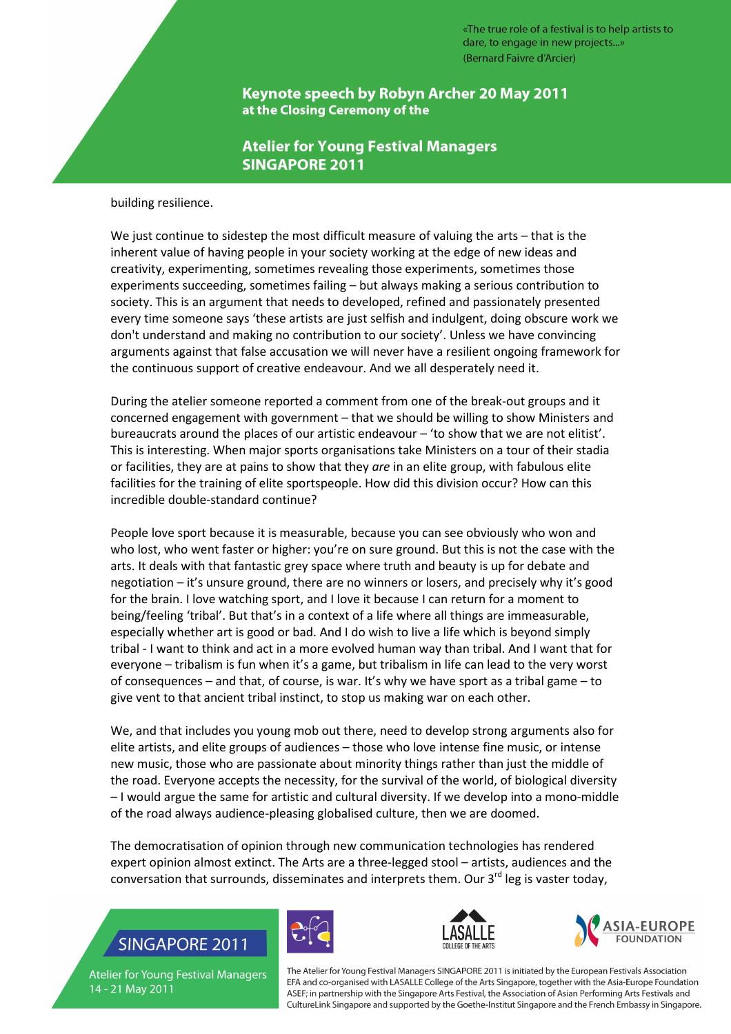Keynote speech by Robyn Archer 20 May 2011 at the Closing Ceremony of the

#### **Atelier for Young Festival Managers SINGAPORE 2011**

building resilience.

We just continue to sidestep the most difficult measure of valuing the arts – that is the inherent value of having people in your society working at the edge of new ideas and creativity, experimenting, sometimes revealing those experiments, sometimes those experiments succeeding, sometimes failing – but always making a serious contribution to society. This is an argument that needs to developed, refined and passionately presented every time someone says 'these artists are just selfish and indulgent, doing obscure work we don't understand and making no contribution to our society'. Unless we have convincing arguments against that false accusation we will never have a resilient ongoing framework for the continuous support of creative endeavour. And we all desperately need it.

During the atelier someone reported a comment from one of the break-out groups and it concerned engagement with government – that we should be willing to show Ministers and bureaucrats around the places of our artistic endeavour – 'to show that we are not elitist'. This is interesting. When major sports organisations take Ministers on a tour of their stadia or facilities, they are at pains to show that they are in an elite group, with fabulous elite facilities for the training of elite sportspeople. How did this division occur? How can this incredible double-standard continue?

People love sport because it is measurable, because you can see obviously who won and who lost, who went faster or higher: you're on sure ground. But this is not the case with the arts. It deals with that fantastic grey space where truth and beauty is up for debate and negotiation – it's unsure ground, there are no winners or losers, and precisely why it's good for the brain. I love watching sport, and I love it because I can return for a moment to being/feeling 'tribal'. But that's in a context of a life where all things are immeasurable, especially whether art is good or bad. And I do wish to live a life which is beyond simply tribal - I want to think and act in a more evolved human way than tribal. And I want that for everyone – tribalism is fun when it's a game, but tribalism in life can lead to the very worst of consequences – and that, of course, is war. It's why we have sport as a tribal game – to give vent to that ancient tribal instinct, to stop us making war on each other.

We, and that includes you young mob out there, need to develop strong arguments also for elite artists, and elite groups of audiences – those who love intense fine music, or intense new music, those who are passionate about minority things rather than just the middle of the road. Everyone accepts the necessity, for the survival of the world, of biological diversity – I would argue the same for artistic and cultural diversity. If we develop into a mono-middle of the road always audience-pleasing globalised culture, then we are doomed.

The democratisation of opinion through new communication technologies has rendered expert opinion almost extinct. The Arts are a three-legged stool – artists, audiences and the conversation that surrounds, disseminates and interprets them. Our 3<sup>rd</sup> leg is vaster today,

# **SINGAPORE 2011**







**Atelier for Young Festival Managers** 14 - 21 May 2011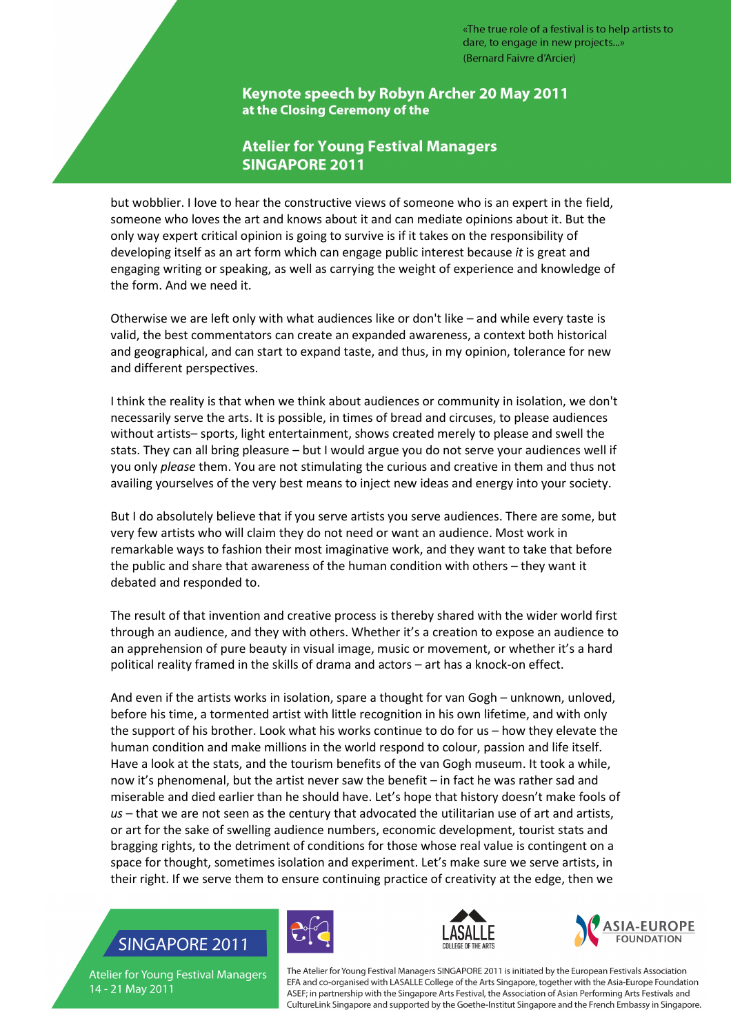Keynote speech by Robyn Archer 20 May 2011 at the Closing Ceremony of the

### **Atelier for Young Festival Managers SINGAPORE 2011**

but wobblier. I love to hear the constructive views of someone who is an expert in the field, someone who loves the art and knows about it and can mediate opinions about it. But the only way expert critical opinion is going to survive is if it takes on the responsibility of developing itself as an art form which can engage public interest because it is great and engaging writing or speaking, as well as carrying the weight of experience and knowledge of the form. And we need it.

Otherwise we are left only with what audiences like or don't like – and while every taste is valid, the best commentators can create an expanded awareness, a context both historical and geographical, and can start to expand taste, and thus, in my opinion, tolerance for new and different perspectives.

I think the reality is that when we think about audiences or community in isolation, we don't necessarily serve the arts. It is possible, in times of bread and circuses, to please audiences without artists– sports, light entertainment, shows created merely to please and swell the stats. They can all bring pleasure – but I would argue you do not serve your audiences well if you only please them. You are not stimulating the curious and creative in them and thus not availing yourselves of the very best means to inject new ideas and energy into your society.

But I do absolutely believe that if you serve artists you serve audiences. There are some, but very few artists who will claim they do not need or want an audience. Most work in remarkable ways to fashion their most imaginative work, and they want to take that before the public and share that awareness of the human condition with others – they want it debated and responded to.

The result of that invention and creative process is thereby shared with the wider world first through an audience, and they with others. Whether it's a creation to expose an audience to an apprehension of pure beauty in visual image, music or movement, or whether it's a hard political reality framed in the skills of drama and actors – art has a knock-on effect.

And even if the artists works in isolation, spare a thought for van Gogh – unknown, unloved, before his time, a tormented artist with little recognition in his own lifetime, and with only the support of his brother. Look what his works continue to do for us – how they elevate the human condition and make millions in the world respond to colour, passion and life itself. Have a look at the stats, and the tourism benefits of the van Gogh museum. It took a while, now it's phenomenal, but the artist never saw the benefit – in fact he was rather sad and miserable and died earlier than he should have. Let's hope that history doesn't make fools of  $us$  – that we are not seen as the century that advocated the utilitarian use of art and artists, or art for the sake of swelling audience numbers, economic development, tourist stats and bragging rights, to the detriment of conditions for those whose real value is contingent on a space for thought, sometimes isolation and experiment. Let's make sure we serve artists, in their right. If we serve them to ensure continuing practice of creativity at the edge, then we

### **SINGAPORE 2011**







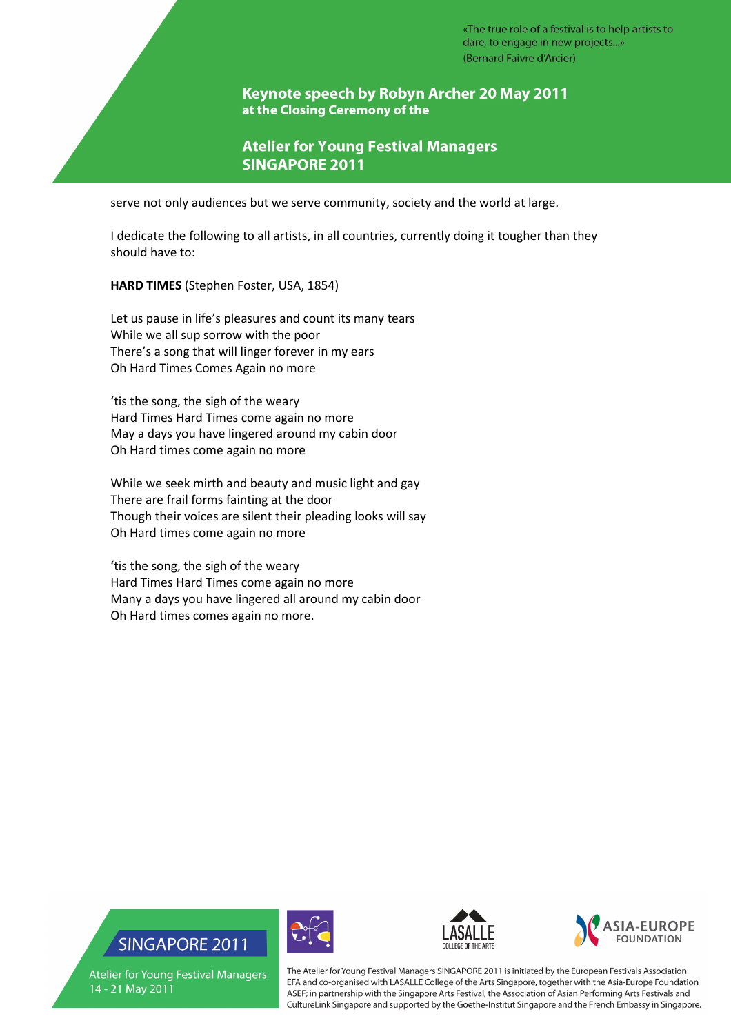Keynote speech by Robyn Archer 20 May 2011 at the Closing Ceremony of the

**Atelier for Young Festival Managers SINGAPORE 2011** 

serve not only audiences but we serve community, society and the world at large.

I dedicate the following to all artists, in all countries, currently doing it tougher than they should have to:

HARD TIMES (Stephen Foster, USA, 1854)

Let us pause in life's pleasures and count its many tears While we all sup sorrow with the poor There's a song that will linger forever in my ears Oh Hard Times Comes Again no more

'tis the song, the sigh of the weary Hard Times Hard Times come again no more May a days you have lingered around my cabin door Oh Hard times come again no more

While we seek mirth and beauty and music light and gay There are frail forms fainting at the door Though their voices are silent their pleading looks will say Oh Hard times come again no more

'tis the song, the sigh of the weary Hard Times Hard Times come again no more Many a days you have lingered all around my cabin door Oh Hard times comes again no more.

## **SINGAPORE 2011**

**Atelier for Young Festival Managers** 14 - 21 May 2011